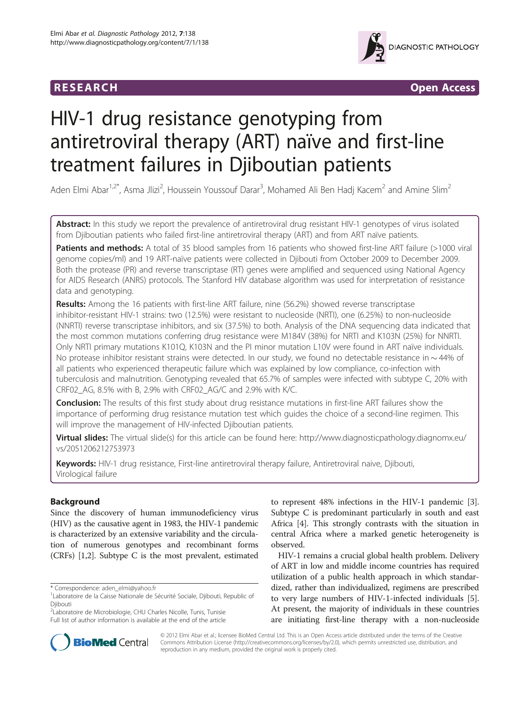



# HIV-1 drug resistance genotyping from antiretroviral therapy (ART) naïve and first-line treatment failures in Djiboutian patients

Aden Elmi Abar<sup>1,2\*</sup>, Asma Jlizi<sup>2</sup>, Houssein Youssouf Darar<sup>3</sup>, Mohamed Ali Ben Hadj Kacem<sup>2</sup> and Amine Slim<sup>2</sup>

Abstract: In this study we report the prevalence of antiretroviral drug resistant HIV-1 genotypes of virus isolated from Djiboutian patients who failed first-line antiretroviral therapy (ART) and from ART naïve patients.

Patients and methods: A total of 35 blood samples from 16 patients who showed first-line ART failure (>1000 viral genome copies/ml) and 19 ART-naïve patients were collected in Djibouti from October 2009 to December 2009. Both the protease (PR) and reverse transcriptase (RT) genes were amplified and sequenced using National Agency for AIDS Research (ANRS) protocols. The Stanford HIV database algorithm was used for interpretation of resistance data and genotyping.

Results: Among the 16 patients with first-line ART failure, nine (56.2%) showed reverse transcriptase inhibitor-resistant HIV-1 strains: two (12.5%) were resistant to nucleoside (NRTI), one (6.25%) to non-nucleoside (NNRTI) reverse transcriptase inhibitors, and six (37.5%) to both. Analysis of the DNA sequencing data indicated that the most common mutations conferring drug resistance were M184V (38%) for NRTI and K103N (25%) for NNRTI. Only NRTI primary mutations K101Q, K103N and the PI minor mutation L10V were found in ART naïve individuals. No protease inhibitor resistant strains were detected. In our study, we found no detectable resistance in  $\sim$  44% of all patients who experienced therapeutic failure which was explained by low compliance, co-infection with tuberculosis and malnutrition. Genotyping revealed that 65.7% of samples were infected with subtype C, 20% with CRF02\_AG, 8.5% with B, 2.9% with CRF02\_AG/C and 2.9% with K/C.

Conclusion: The results of this first study about drug resistance mutations in first-line ART failures show the importance of performing drug resistance mutation test which guides the choice of a second-line regimen. This will improve the management of HIV-infected Djiboutian patients.

**Virtual slides:** The virtual slide(s) for this article can be found here: [http://www.diagnosticpathology.diagnomx.eu/](http://www.diagnosticpathology.diagnomx.eu/vs/2051206212753973) [vs/2051206212753973](http://www.diagnosticpathology.diagnomx.eu/vs/2051206212753973)

Keywords: HIV-1 drug resistance, First-line antiretroviral therapy failure, Antiretroviral naive, Djibouti, Virological failure

# Background

Since the discovery of human immunodeficiency virus (HIV) as the causative agent in 1983, the HIV-1 pandemic is characterized by an extensive variability and the circulation of numerous genotypes and recombinant forms (CRFs) [\[1,2\]](#page-5-0). Subtype C is the most prevalent, estimated

<sup>2</sup>Laboratoire de Microbiologie, CHU Charles Nicolle, Tunis, Tunisie Full list of author information is available at the end of the article to represent 48% infections in the HIV-1 pandemic [[3](#page-5-0)]. Subtype C is predominant particularly in south and east Africa [[4\]](#page-5-0). This strongly contrasts with the situation in central Africa where a marked genetic heterogeneity is observed.

HIV-1 remains a crucial global health problem. Delivery of ART in low and middle income countries has required utilization of a public health approach in which standardized, rather than individualized, regimens are prescribed to very large numbers of HIV-1-infected individuals [[5](#page-5-0)]. At present, the majority of individuals in these countries are initiating first-line therapy with a non-nucleoside



© 2012 Elmi Abar et al.; licensee BioMed Central Ltd. This is an Open Access article distributed under the terms of the Creative Commons Attribution License [\(http://creativecommons.org/licenses/by/2.0\)](http://creativecommons.org/licenses/by/2.0), which permits unrestricted use, distribution, and reproduction in any medium, provided the original work is properly cited.

<sup>\*</sup> Correspondence: [aden\\_elmi@yahoo.fr](mailto:aden_elmi@yahoo.fr) <sup>1</sup>

<sup>&</sup>lt;sup>1</sup> Laboratoire de la Caisse Nationale de Sécurité Sociale, Djibouti, Republic of Djibouti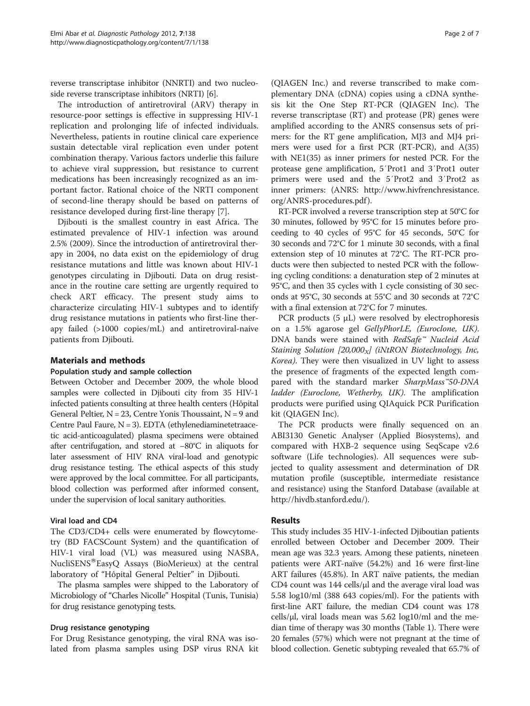reverse transcriptase inhibitor (NNRTI) and two nucleoside reverse transcriptase inhibitors (NRTI) [\[6](#page-5-0)].

The introduction of antiretroviral (ARV) therapy in resource-poor settings is effective in suppressing HIV-1 replication and prolonging life of infected individuals. Nevertheless, patients in routine clinical care experience sustain detectable viral replication even under potent combination therapy. Various factors underlie this failure to achieve viral suppression, but resistance to current medications has been increasingly recognized as an important factor. Rational choice of the NRTI component of second-line therapy should be based on patterns of resistance developed during first-line therapy [[7\]](#page-5-0).

Djibouti is the smallest country in east Africa. The estimated prevalence of HIV-1 infection was around 2.5% (2009). Since the introduction of antiretroviral therapy in 2004, no data exist on the epidemiology of drug resistance mutations and little was known about HIV-1 genotypes circulating in Djibouti. Data on drug resistance in the routine care setting are urgently required to check ART efficacy. The present study aims to characterize circulating HIV-1 subtypes and to identify drug resistance mutations in patients who first-line therapy failed (>1000 copies/mL) and antiretroviral-naive patients from Djibouti.

# Materials and methods

## Population study and sample collection

Between October and December 2009, the whole blood samples were collected in Djibouti city from 35 HIV-1 infected patients consulting at three health centers (Hôpital General Peltier,  $N = 23$ , Centre Yonis Thoussaint,  $N = 9$  and Centre Paul Faure, N = 3). EDTA (ethylenediaminetetraacetic acid-anticoagulated) plasma specimens were obtained after centrifugation, and stored at −80°C in aliquots for later assessment of HIV RNA viral-load and genotypic drug resistance testing. The ethical aspects of this study were approved by the local committee. For all participants, blood collection was performed after informed consent, under the supervision of local sanitary authorities.

## Viral load and CD4

The CD3/CD4+ cells were enumerated by flowcytometry (BD FACSCount System) and the quantification of HIV-1 viral load (VL) was measured using NASBA, NucliSENS<sup>®</sup>EasyQ Assays (BioMerieux) at the central laboratory of "Hôpital General Peltier" in Djibouti.

The plasma samples were shipped to the Laboratory of Microbiology of "Charles Nicolle" Hospital (Tunis, Tunisia) for drug resistance genotyping tests.

## Drug resistance genotyping

For Drug Resistance genotyping, the viral RNA was isolated from plasma samples using DSP virus RNA kit

(QIAGEN Inc.) and reverse transcribed to make complementary DNA (cDNA) copies using a cDNA synthesis kit the One Step RT-PCR (QIAGEN Inc). The reverse transcriptase (RT) and protease (PR) genes were amplified according to the ANRS consensus sets of primers: for the RT gene amplification, MJ3 and MJ4 primers were used for a first PCR (RT-PCR), and A(35) with NE1(35) as inner primers for nested PCR. For the protease gene amplification, 5′Prot1 and 3′Prot1 outer primers were used and the 5′Prot2 and 3′Prot2 as inner primers: (ANRS: [http://www.hivfrenchresistance.](http://www.hivfrenchresistance.org/ANRS-procedures.pdf) [org/ANRS-procedures.pdf](http://www.hivfrenchresistance.org/ANRS-procedures.pdf) ).

RT-PCR involved a reverse transcription step at 50°C for 30 minutes, followed by 95°C for 15 minutes before proceeding to 40 cycles of 95°C for 45 seconds, 50°C for 30 seconds and 72°C for 1 minute 30 seconds, with a final extension step of 10 minutes at 72°C. The RT-PCR products were then subjected to nested PCR with the following cycling conditions: a denaturation step of 2 minutes at 95°C, and then 35 cycles with 1 cycle consisting of 30 seconds at 95°C, 30 seconds at 55°C and 30 seconds at 72°C with a final extension at 72°C for 7 minutes.

PCR products  $(5 \mu L)$  were resolved by electrophoresis on a 1.5% agarose gel GellyPhorLE, (Euroclone, UK). DNA bands were stained with RedSafe™ Nucleid Acid Staining Solution  $[20,000<sub>x</sub>]$  (iNtRON Biotechnology, Inc, Korea). They were then visualized in UV light to assess the presence of fragments of the expected length compared with the standard marker SharpMass™50-DNA ladder (Euroclone, Wetherby, UK). The amplification products were purified using QIAquick PCR Purification kit (QIAGEN Inc).

The PCR products were finally sequenced on an ABI3130 Genetic Analyser (Applied Biosystems), and compared with HXB-2 sequence using SeqScape v2.6 software (Life technologies). All sequences were subjected to quality assessment and determination of DR mutation profile (susceptible, intermediate resistance and resistance) using the Stanford Database (available at <http://hivdb.stanford.edu/>).

# Results

This study includes 35 HIV-1-infected Djiboutian patients enrolled between October and December 2009. Their mean age was 32.3 years. Among these patients, nineteen patients were ART-naïve (54.2%) and 16 were first-line ART failures (45.8%). In ART naïve patients, the median CD4 count was 144 cells/μl and the average viral load was 5.58 log10/ml (388 643 copies/ml). For the patients with first-line ART failure, the median CD4 count was 178 cells/ $\mu$ l, viral loads mean was 5.62 log10/ml and the median time of therapy was 30 months (Table [1\)](#page-2-0). There were 20 females (57%) which were not pregnant at the time of blood collection. Genetic subtyping revealed that 65.7% of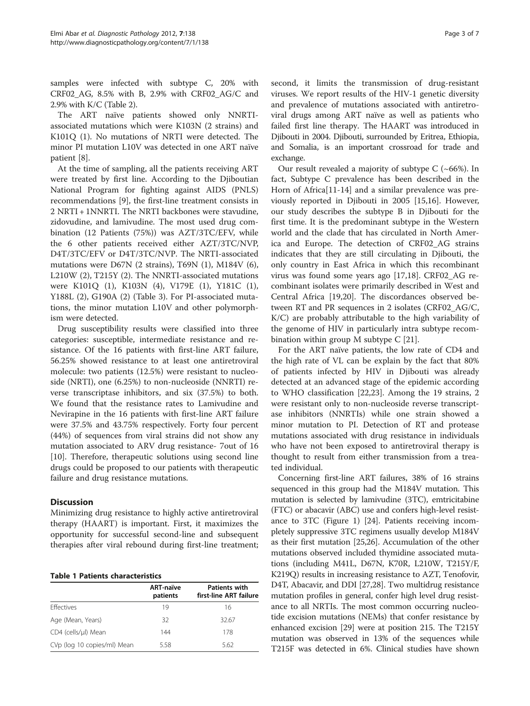<span id="page-2-0"></span>samples were infected with subtype C, 20% with CRF02\_AG, 8.5% with B, 2.9% with CRF02\_AG/C and 2.9% with K/C (Table [2](#page-3-0)).

The ART naïve patients showed only NNRTIassociated mutations which were K103N (2 strains) and K101Q (1). No mutations of NRTI were detected. The minor PI mutation L10V was detected in one ART naïve patient [\[8](#page-5-0)].

At the time of sampling, all the patients receiving ART were treated by first line. According to the Djiboutian National Program for fighting against AIDS (PNLS) recommendations [[9\]](#page-5-0), the first-line treatment consists in 2 NRTI + 1NNRTI. The NRTI backbones were stavudine, zidovudine, and lamivudine. The most used drug combination (12 Patients (75%)) was AZT/3TC/EFV, while the 6 other patients received either AZT/3TC/NVP, D4T/3TC/EFV or D4T/3TC/NVP. The NRTI-associated mutations were D67N (2 strains), T69N (1), M184V (6), L210W (2), T215Y (2). The NNRTI-associated mutations were K101Q (1), K103N (4), V179E (1), Y181C (1), Y188L (2), G190A (2) (Table [3](#page-3-0)). For PI-associated mutations, the minor mutation L10V and other polymorphism were detected.

Drug susceptibility results were classified into three categories: susceptible, intermediate resistance and resistance. Of the 16 patients with first-line ART failure, 56.25% showed resistance to at least one antiretroviral molecule: two patients (12.5%) were resistant to nucleoside (NRTI), one (6.25%) to non-nucleoside (NNRTI) reverse transcriptase inhibitors, and six (37.5%) to both. We found that the resistance rates to Lamivudine and Nevirapine in the 16 patients with first-line ART failure were 37.5% and 43.75% respectively. Forty four percent (44%) of sequences from viral strains did not show any mutation associated to ARV drug resistance- 7out of 16 [[10\]](#page-5-0). Therefore, therapeutic solutions using second line drugs could be proposed to our patients with therapeutic failure and drug resistance mutations.

# **Discussion**

Minimizing drug resistance to highly active antiretroviral therapy (HAART) is important. First, it maximizes the opportunity for successful second-line and subsequent therapies after viral rebound during first-line treatment;

## Table 1 Patients characteristics

|                             | <b>ART-naïve</b><br>patients | <b>Patients with</b><br>first-line ART failure |
|-----------------------------|------------------------------|------------------------------------------------|
| <b>Fffectives</b>           | 19                           | 16                                             |
| Age (Mean, Years)           | 32                           | 32.67                                          |
| CD4 (cells/µl) Mean         | 144                          | 178                                            |
| CVp (log 10 copies/ml) Mean | 5.58                         | 5.62                                           |

second, it limits the transmission of drug-resistant viruses. We report results of the HIV-1 genetic diversity and prevalence of mutations associated with antiretroviral drugs among ART naïve as well as patients who failed first line therapy. The HAART was introduced in Djibouti in 2004. Djibouti, surrounded by Eritrea, Ethiopia, and Somalia, is an important crossroad for trade and exchange.

Our result revealed a majority of subtype  $C$  (~66%). In fact, Subtype C prevalence has been described in the Horn of Africa<sup>[\[11](#page-5-0)-[14](#page-5-0)]</sup> and a similar prevalence was previously reported in Djibouti in 2005 [[15](#page-5-0),[16](#page-5-0)]. However, our study describes the subtype B in Djibouti for the first time. It is the predominant subtype in the Western world and the clade that has circulated in North America and Europe. The detection of CRF02\_AG strains indicates that they are still circulating in Djibouti, the only country in East Africa in which this recombinant virus was found some years ago [[17,18\]](#page-5-0). CRF02\_AG recombinant isolates were primarily described in West and Central Africa [\[19,20\]](#page-5-0). The discordances observed between RT and PR sequences in 2 isolates (CRF02\_AG/C, K/C) are probably attributable to the high variability of the genome of HIV in particularly intra subtype recombination within group M subtype C [\[21](#page-5-0)].

For the ART naïve patients, the low rate of CD4 and the high rate of VL can be explain by the fact that 80% of patients infected by HIV in Djibouti was already detected at an advanced stage of the epidemic according to WHO classification [\[22,23\]](#page-5-0). Among the 19 strains, 2 were resistant only to non-nucleoside reverse transcriptase inhibitors (NNRTIs) while one strain showed a minor mutation to PI. Detection of RT and protease mutations associated with drug resistance in individuals who have not been exposed to antiretroviral therapy is thought to result from either transmission from a treated individual.

Concerning first-line ART failures, 38% of 16 strains sequenced in this group had the M184V mutation. This mutation is selected by lamivudine (3TC), emtricitabine (FTC) or abacavir (ABC) use and confers high-level resistance to 3TC (Figure [1](#page-4-0)) [[24](#page-5-0)]. Patients receiving incompletely suppressive 3TC regimens usually develop M184V as their first mutation [\[25,26\]](#page-5-0). Accumulation of the other mutations observed included thymidine associated mutations (including M41L, D67N, K70R, L210W, T215Y/F, K219Q) results in increasing resistance to AZT, Tenofovir, D4T, Abacavir, and DDI [[27,28](#page-5-0)]. Two multidrug resistance mutation profiles in general, confer high level drug resistance to all NRTIs. The most common occurring nucleotide excision mutations (NEMs) that confer resistance by enhanced excision [[29](#page-5-0)] were at position 215. The T215Y mutation was observed in 13% of the sequences while T215F was detected in 6%. Clinical studies have shown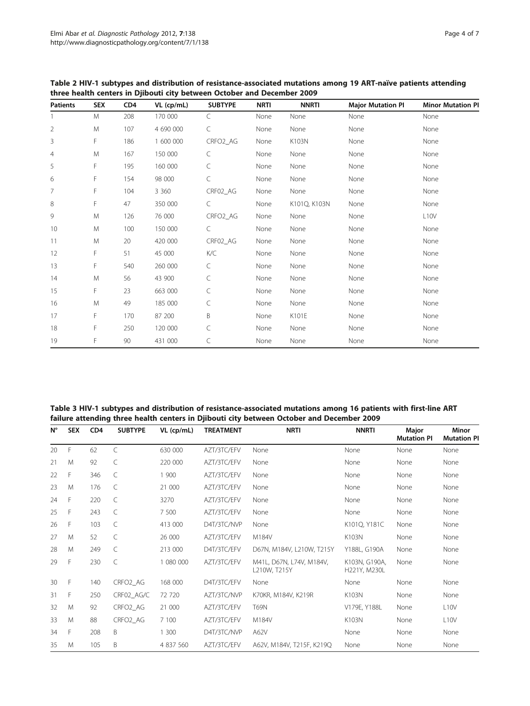| <b>Patients</b> | <b>SEX</b> | CD <sub>4</sub> | VL (cp/mL) | <b>SUBTYPE</b> | <b>NRTI</b> | <b>NNRTI</b> | <b>Major Mutation PI</b> | <b>Minor Mutation PI</b> |  |
|-----------------|------------|-----------------|------------|----------------|-------------|--------------|--------------------------|--------------------------|--|
|                 | M          | 208             | 170 000    | $\subset$      | None        | None         | None                     | None                     |  |
| $\overline{2}$  | M          | 107             | 4 690 000  | C              | None        | None         | None                     | None                     |  |
| 3               | F          | 186             | 1 600 000  | CRFO2_AG       | None        | K103N        | None                     | None                     |  |
| $\overline{4}$  | M          | 167             | 150 000    | $\subset$      | None        | None         | None                     | None                     |  |
| 5               | F          | 195             | 160 000    | $\subset$      | None        | None         | None                     | None                     |  |
| 6               | F          | 154             | 98 000     | C              | None        | None         | None                     | None                     |  |
| 7               | F          | 104             | 3 3 6 0    | CRF02_AG       | None        | None         | None                     | None                     |  |
| 8               | F.         | 47              | 350 000    | C              | None        | K101Q, K103N | None                     | None                     |  |
| 9               | M          | 126             | 76 000     | CRFO2_AG       | None        | None         | None                     | L <sub>10</sub> V        |  |
| 10              | M          | 100             | 150 000    | $\subset$      | None        | None         | None                     | None                     |  |
| 11              | M          | 20              | 420 000    | CRF02_AG       | None        | None         | None                     | None                     |  |
| 12              | F.         | 51              | 45 000     | K/C            | None        | None         | None                     | None                     |  |
| 13              | F          | 540             | 260 000    | $\subset$      | None        | None         | None                     | None                     |  |
| 14              | M          | 56              | 43 900     | $\subset$      | None        | None         | None                     | None                     |  |
| 15              | F          | 23              | 663 000    | $\subset$      | None        | None         | None                     | None                     |  |
| 16              | M          | 49              | 185 000    | C              | None        | None         | None                     | None                     |  |
| 17              | F          | 170             | 87 200     | B              | None        | K101E        | None                     | None                     |  |
| 18              | F          | 250             | 120 000    | C              | None        | None         | None                     | None                     |  |
| 19              | F          | 90              | 431 000    | C              | None        | None         | None                     | None                     |  |

<span id="page-3-0"></span>Table 2 HIV-1 subtypes and distribution of resistance-associated mutations among 19 ART-naïve patients attending three health centers in Djibouti city between October and December 2009

| Table 3 HIV-1 subtypes and distribution of resistance-associated mutations among 16 patients with first-line ART |
|------------------------------------------------------------------------------------------------------------------|
| failure attending three health centers in Djibouti city between October and December 2009                        |

| $N^{\circ}$ | <b>SEX</b> | CD <sub>4</sub> | <b>SUBTYPE</b>       | VL (cp/mL) | <b>TREATMENT</b> | <b>NRTI</b>                              | <b>NNRTI</b>                  | Major<br><b>Mutation PI</b> | Minor<br><b>Mutation PI</b> |
|-------------|------------|-----------------|----------------------|------------|------------------|------------------------------------------|-------------------------------|-----------------------------|-----------------------------|
| 20          | F          | 62              | C                    | 630 000    | AZT/3TC/EFV      | None                                     | None                          | None                        | None                        |
| 21          | M          | 92              | C                    | 220 000    | AZT/3TC/EFV      | None                                     | None                          | None                        | None                        |
| 22          | F          | 346             | C                    | 1 900      | AZT/3TC/EFV      | None                                     | None                          | None                        | None                        |
| 23          | M          | 176             | C                    | 21 000     | AZT/3TC/EFV      | None                                     | None                          | None                        | None                        |
| 24          | F          | 220             | C                    | 3270       | AZT/3TC/EFV      | None                                     | None                          | None                        | None                        |
| 25          | F          | 243             | C                    | 7 500      | AZT/3TC/EFV      | None                                     | None                          | None                        | None                        |
| 26          | F          | 103             | C                    | 413 000    | D4T/3TC/NVP      | None                                     | K101Q, Y181C                  | None                        | None                        |
| 27          | M          | 52              | C                    | 26 000     | AZT/3TC/EFV      | M184V                                    | K103N                         | None                        | None                        |
| 28          | M          | 249             | C                    | 213 000    | D4T/3TC/EFV      | D67N, M184V, L210W, T215Y                | Y188L, G190A                  | None                        | None                        |
| 29          | F          | 230             | C                    | 1 080 000  | AZT/3TC/EFV      | M41L, D67N, L74V, M184V,<br>L210W, T215Y | K103N, G190A,<br>H221Y, M230L | None                        | None                        |
| 30          | F          | 140             | CRFO2_AG             | 168 000    | D4T/3TC/EFV      | None                                     | None                          | None                        | None                        |
| 31          | F          | 250             | CRF02_AG/C           | 72 720     | AZT/3TC/NVP      | K70KR, M184V, K219R                      | K103N                         | None                        | None                        |
| 32          | M          | 92              | CRFO <sub>2</sub> AG | 21 000     | AZT/3TC/EFV      | <b>T69N</b>                              | V179E, Y188L                  | None                        | L <sub>10</sub> V           |
| 33          | M          | 88              | CRFO <sub>2</sub> AG | 7 100      | AZT/3TC/EFV      | M184V                                    | K103N                         | None                        | L <sub>1</sub> OV           |
| 34          | F          | 208             | B                    | 1 300      | D4T/3TC/NVP      | A62V                                     | None                          | None                        | None                        |
| 35          | M          | 105             | B                    | 4 837 560  | AZT/3TC/EFV      | A62V, M184V, T215F, K219Q                | None                          | None                        | None                        |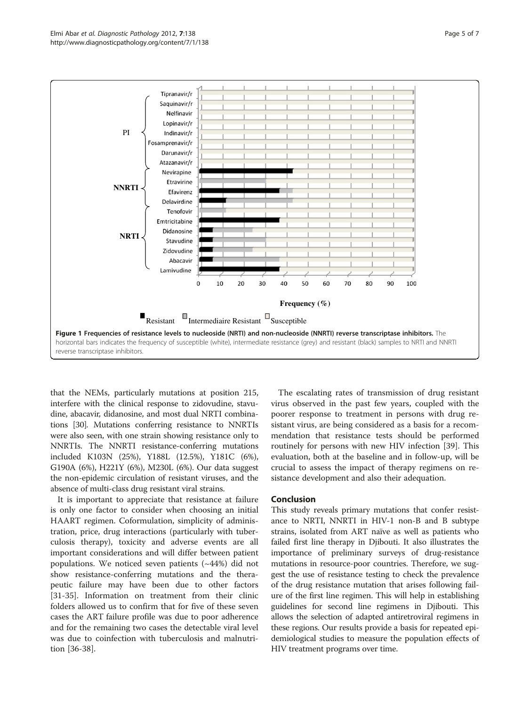<span id="page-4-0"></span>

that the NEMs, particularly mutations at position 215, interfere with the clinical response to zidovudine, stavudine, abacavir, didanosine, and most dual NRTI combinations [[30](#page-5-0)]. Mutations conferring resistance to NNRTIs were also seen, with one strain showing resistance only to NNRTIs. The NNRTI resistance-conferring mutations included K103N (25%), Y188L (12.5%), Y181C (6%), G190A (6%), H221Y (6%), M230L (6%). Our data suggest the non-epidemic circulation of resistant viruses, and the absence of multi-class drug resistant viral strains.

It is important to appreciate that resistance at failure is only one factor to consider when choosing an initial HAART regimen. Coformulation, simplicity of administration, price, drug interactions (particularly with tuberculosis therapy), toxicity and adverse events are all important considerations and will differ between patient populations. We noticed seven patients (~44%) did not show resistance-conferring mutations and the therapeutic failure may have been due to other factors [[31-35](#page-6-0)]. Information on treatment from their clinic folders allowed us to confirm that for five of these seven cases the ART failure profile was due to poor adherence and for the remaining two cases the detectable viral level was due to coinfection with tuberculosis and malnutrition [\[36-38](#page-6-0)].

The escalating rates of transmission of drug resistant virus observed in the past few years, coupled with the poorer response to treatment in persons with drug resistant virus, are being considered as a basis for a recommendation that resistance tests should be performed routinely for persons with new HIV infection [[39](#page-6-0)]. This evaluation, both at the baseline and in follow-up, will be crucial to assess the impact of therapy regimens on resistance development and also their adequation.

# Conclusion

This study reveals primary mutations that confer resistance to NRTI, NNRTI in HIV-1 non-B and B subtype strains, isolated from ART naïve as well as patients who failed first line therapy in Djibouti. It also illustrates the importance of preliminary surveys of drug-resistance mutations in resource-poor countries. Therefore, we suggest the use of resistance testing to check the prevalence of the drug resistance mutation that arises following failure of the first line regimen. This will help in establishing guidelines for second line regimens in Djibouti. This allows the selection of adapted antiretroviral regimens in these regions. Our results provide a basis for repeated epidemiological studies to measure the population effects of HIV treatment programs over time.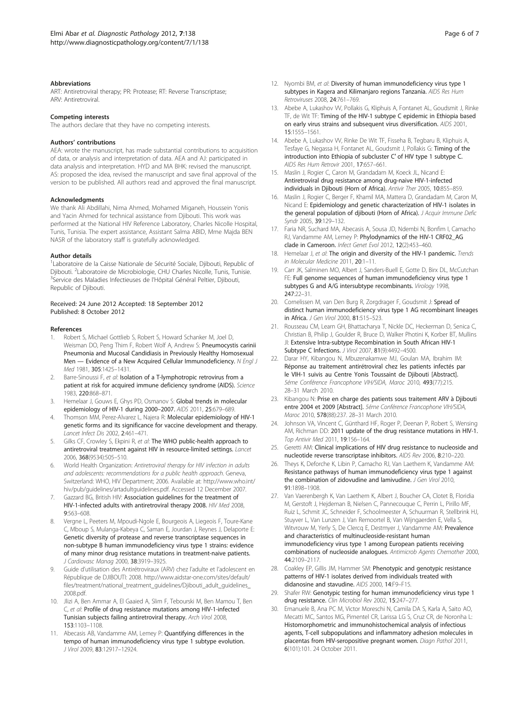#### <span id="page-5-0"></span>**Abbreviations**

ART: Antiretroviral therapy; PR: Protease; RT: Reverse Transcriptase; ARV: Antiretroviral.

#### Competing interests

The authors declare that they have no competing interests.

#### Authors' contributions

AEA: wrote the manuscript, has made substantial contributions to acquisition of data, or analysis and interpretation of data. AEA and AJ: participated in data analysis and interpretation. HYD and MA BHK: revised the manuscript. AS: proposed the idea, revised the manuscript and save final approval of the version to be published. All authors read and approved the final manuscript.

#### Acknowledgments

We thank Ali Abdillahi, Nima Ahmed, Mohamed Miganeh, Houssein Yonis and Yacin Ahmed for technical assistance from Djibouti. This work was performed at the National HIV Reference Laboratory, Charles Nicolle Hospital, Tunis, Tunisia. The expert assistance, Assistant Salma ABID, Mme Majda BEN NASR of the laboratory staff is gratefully acknowledged.

#### Author details

<sup>1</sup>Laboratoire de la Caisse Nationale de Sécurité Sociale, Djibouti, Republic of Djibouti. <sup>2</sup>Laboratoire de Microbiologie, CHU Charles Nicolle, Tunis, Tunisie.<br><sup>3</sup>Sen*ice des Maladies Infectieuses de l'H*ânital Général Peltier, Diibouti. <sup>3</sup>Service des Maladies Infectieuses de l'Hôpital Général Peltier, Djibouti, Republic of Djibouti.

#### Received: 24 June 2012 Accepted: 18 September 2012 Published: 8 October 2012

#### References

- 1. Robert S, Michael Gottlieb S, Robert S, Howard Schanker M, Joel D, Weisman DO, Peng Thim F, Robert Wolf A, Andrew S: Pneumocystis carinii Pneumonia and Mucosal Candidiasis in Previously Healthy Homosexual Men - Evidence of a New Acquired Cellular Immunodeficiency. N Engl J Med 1981, 305:1425–1431.
- 2. Barre-Sinoussi F, et al: Isolation of a T-lymphotropic retrovirus from a patient at risk for acquired immune deficiency syndrome (AIDS). Science 1983, 220:868–871.
- 3. Hemelaar J, Gouws E, Ghys PD, Osmanov S: Global trends in molecular epidemiology of HIV-1 during 2000–2007. AIDS 2011, 25:679–689.
- 4. Thomson MM, Perez-Alvarez L, Najera R: Molecular epidemiology of HIV-1 genetic forms and its significance for vaccine development and therapy. Lancet Infect Dis 2002, 2:461–471.
- 5. Gilks CF, Crowley S, Ekpini R, et al: The WHO public-health approach to antiretroviral treatment against HIV in resource-limited settings. Lancet 2006, 368(9534):505–510.
- World Health Organization: Antiretroviral therapy for HIV infection in adults and adolescents: recommendations for a public health approach. Geneva, Switzerland: WHO, HIV Department; 2006. Available at: [http://www.who.int/](http://www.who.int/hiv/pub/guidelines/artadultguidelines.pdf) [hiv/pub/guidelines/artadultguidelines.pdf.](http://www.who.int/hiv/pub/guidelines/artadultguidelines.pdf) Accessed 12 December 2007.
- Gazzard BG, British HIV: Association guidelines for the treatment of HIV-1-infected adults with antiretroviral therapy 2008. HIV Med 2008, 9:563–608.
- 8. Vergne L, Peeters M, Mpoudi-Ngole E, Bourgeois A, Liegeois F, Toure-Kane C, Mboup S, Mulanga-Kabeya C, Saman E, Jourdan J, Reynes J, Delaporte E: Genetic diversity of protease and reverse transcriptase sequences in non-subtype B human immunodeficiency virus type 1 strains: evidence of many minor drug resistance mutations in treatment-naive patients. J Cardiovasc Manag 2000, 38:3919–3925.
- Guide d'utilisation des Antirétroviraux (ARV) chez l'adulte et l'adolescent en République de DJIBOUTI: 2008. [http://www.aidstar-one.com/sites/default/](http://www.aidstar-one.com/sites/default/files/treatment/national_treatment_guidelines/Djibouti_adult_guidelines_2008.pdf) [files/treatment/national\\_treatment\\_guidelines/Djibouti\\_adult\\_guidelines\\_](http://www.aidstar-one.com/sites/default/files/treatment/national_treatment_guidelines/Djibouti_adult_guidelines_2008.pdf) [2008.pdf](http://www.aidstar-one.com/sites/default/files/treatment/national_treatment_guidelines/Djibouti_adult_guidelines_2008.pdf).
- 10. Jlizi A, Ben Ammar A, El Gaaied A, Slim F, Tebourski M, Ben Mamou T, Ben C, et al: Profile of drug resistance mutations among HIV-1-infected Tunisian subjects failing antiretroviral therapy. Arch Virol 2008, 153:1103–1108.
- 11. Abecasis AB, Vandamme AM, Lemey P: Quantifying differences in the tempo of human immunodeficiency virus type 1 subtype evolution. J Virol 2009, 83:12917–12924.
- 12. Nyombi BM, et al: Diversity of human immunodeficiency virus type 1 subtypes in Kagera and Kilimanjaro regions Tanzania. AIDS Res Hum Retroviruses 2008, 24:761–769.
- 13. Abebe A, Lukashov VV, Pollakis G, Kliphuis A, Fontanet AL, Goudsmit J, Rinke TF, de Wit TF: Timing of the HIV-1 subtype C epidemic in Ethiopia based on early virus strains and subsequent virus diversification. AIDS 2001, 15:1555–1561.
- 14. Abebe A, Lukashov VV, Rinke De Wit TF, Fisseha B, Tegbaru B, Kliphuis A, Tesfaye G, Negassa H, Fontanet AL, Goudsmit J, Pollakis G: Timing of the introduction into Ethiopia of subcluster C′ of HIV type 1 subtype C. AIDS Res Hum Retrovir 2001, 17:657–661.
- 15. Maslin J, Rogier C, Caron M, Grandadam M, Koeck JL, Nicand E: Antiretroviral drug resistance among drug-naive HIV-1-infected individuals in Djibouti (Horn of Africa). Antivir Ther 2005, 10:855–859.
- 16. Maslin J, Rogier C, Berger F, Khamil MA, Mattera D, Grandadam M, Caron M, Nicand E: Epidemiology and genetic characterization of HIV-1 isolates in the general population of djibouti (Horn of Africa). J Acquir Immune Defic Svndr 2005, 39:129-132.
- 17. Faria NR, Suchard MA, Abecasis A, Sousa JD, Ndembi N, Bonfim I, Camacho RJ, Vandamme AM, Lemey P: Phylodynamics of the HIV-1 CRF02\_AG clade in Cameroon. Infect Genet Evol 2012, 12(2):453–460.
- 18. Hemelaar J, et al: The origin and diversity of the HIV-1 pandemic. Trends in Molecular Medicine 2011, 20:1–11.
- 19. Carr JK, Salminen MO, Albert J, Sanders-Buell E, Gotte D, Birx DL, McCutchan FE: Full genome sequences of human immunodeficiency virus type 1 subtypes G and A/G intersubtype recombinants. Virology 1998, 247:22–31.
- 20. Cornelissen M, van Den Burg R, Zorgdrager F, Goudsmit J: Spread of distinct human immunodeficiency virus type 1 AG recombinant lineages in Africa. J Gen Virol 2000, 81:515–523.
- 21. Rousseau CM, Learn GH, Bhattacharya T, Nickle DC, Heckerman D, Senica C, Christian B, Philip J, Goulder R, Bruce D, Walker Photini K, Korber BT, Mullins JI: Extensive Intra-subtype Recombination in South African HIV-1 Subtype C Infections. J Virol 2007, 81(9):4492–4500.
- 22. Darar HY, Kibangou N, Mbuzenakamwe MJ, Goulan MA, Ibrahim IM: Réponse au traitement antirétroviral chez les patients infectés par le VIH-1 suivis au Centre Yonis Toussaint de Djibouti [Abstract]. 5éme Conférence Francophone VIH/SIDA, Maroc 2010, 493(77):215. 28–31 March 2010.
- 23. Kibangou N: Prise en charge des patients sous traitement ARV à Djibouti entre 2004 et 2009 [Abstract]. 5éme Conférence Francophone VIH/SIDA, Maroc 2010, 578(88):237. 28–31 March 2010.
- 24. Johnson VA, Vincent C, Günthard HF, Roger P, Deenan P, Robert S, Wensing AM, Richman DD: 2011 update of the drug resistance mutations in HIV-1. Top Antivir Med 2011, 19:156–164.
- 25. Geretti AM: Clinical implications of HIV drug resistance to nucleoside and nucleotide reverse transcriptase inhibitors. AIDS Rev 2006, 8:210–220.
- 26. Theys K, Deforche K, Libin P, Camacho RJ, Van Laethem K, Vandamme AM: Resistance pathways of human immunodeficiency virus type 1 against the combination of zidovudine and lamivudine. J Gen Virol 2010, 91:1898–1908.
- 27. Van Vaerenbergh K, Van Laethem K, Albert J, Boucher CA, Clotet B, Floridia M, Gerstoft J, Hejdeman B, Nielsen C, Pannecouque C, Perrin L, Pirillo MF, Ruiz L, Schmit JC, Schneider F, Schoolmeester A, Schuurman R, Stellbrink HJ, Stuyver L, Van Lunzen J, Van Remoortel B, Van Wijngaerden E, Vella S, Witvrouw M, Yerly S, De Clercq E, Destmyer J, Vandamme AM: Prevalence and characteristics of multinucleoside-resistant human immunodeficiency virus type 1 among European patients receiving combinations of nucleoside analogues. Antimicrob Agents Chemother 2000, 44:2109–2117.
- 28. Coakley EP, Gillis JM, Hammer SM: Phenotypic and genotypic resistance patterns of HIV-1 isolates derived from individuals treated with didanosine and stavudine. AIDS 2000, 14:F9–F15.
- 29. Shafer RW: Genotypic testing for human immunodeficiency virus type 1 drug resistance. Clin Microbiol Rev 2002, 15:247–277.
- 30. Emanuele B, Ana PC M, Victor Moreschi N, Camila DA S, Karla A, Saito AO, Mecatti MC, Santos MG, Pimentel CR, Larissa LG S, Cruz CR, de Noronha L: Histomorphometric and immunohistochemical analysis of infectious agents, T-cell subpopulations and inflammatory adhesion molecules in placentas from HIV-seropositive pregnant women. Diagn Pathol 2011, 6(101):101. 24 October 2011.